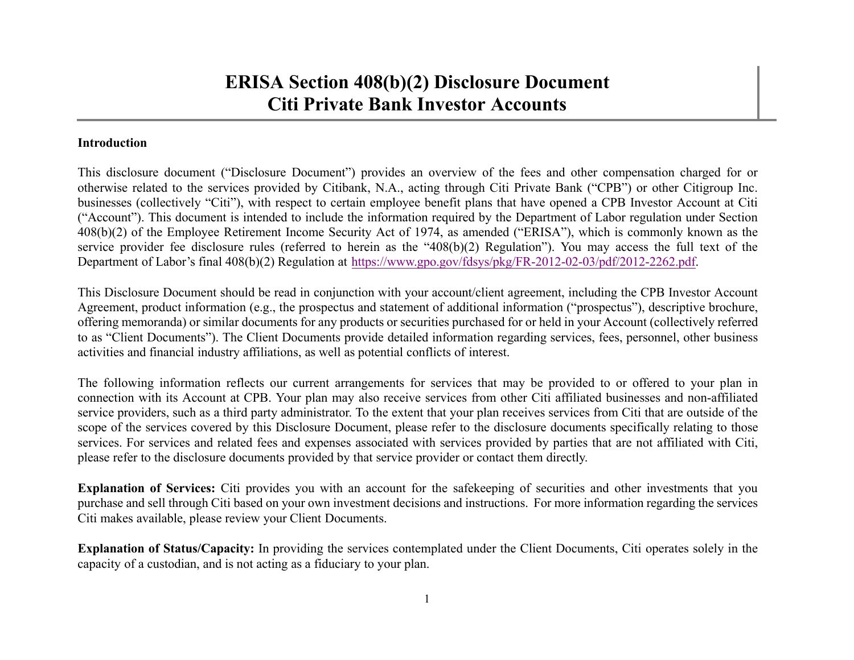## **Introduction**

This disclosure document ("Disclosure Document") provides an overview of the fees and other compensation charged for or otherwise related to the services provided by Citibank, N.A., acting through Citi Private Bank ("CPB") or other Citigroup Inc. businesses (collectively "Citi"), with respec<sup>t</sup> to certain employee benefit plans that have opened <sup>a</sup> CPB Investor Account at Citi ("Account"). This document is intended to include the information required by the Department of Labor regulation under Section 408(b)(2) of the Employee Retirement Income Security Act of 1974, as amended ("ERISA"), which is commonly known as the service provider fee disclosure rules (referred to herein as the "408(b)(2) Regulation"). You may access the full text of the Department of Labor's final 408(b)(2) Regulation at https://www.gpo.gov/fdsys/pkg/FR-2012-02-03/pdf/2012-2262.pdf.

This Disclosure Document should be read in conjunction with your account/client agreement, including the CPB Investor Account Agreement, product information (e.g., the prospectus and statement of additional information ("prospectus"), descriptive brochure, offering memoranda) or similar documents for any products or securities purchased for or held in your Account (collectively referred to as "Client Documents"). The Client Documents provide detailed information regarding services, fees, personnel, other business activities and financial industry affiliations, as well as potential conflicts of interest.

The following information reflects our current arrangements for services that may be provided to or offered to your plan in connection with its Account at CPB. Your plan may also receive services from other Citi affiliated businesses and non-affiliated service providers, such as <sup>a</sup> third party administrator. To the extent that your plan receives services from Citi that are outside of the scope of the services covered by this Disclosure Document, please refer to the disclosure documents specifically relating to those services. For services and related fees and expenses associated with services provided by parties that are not affiliated with Citi, please refer to the disclosure documents provided by that service provider or contact them directly.

**Explanation of Services:** Citi provides you with an account for the safekeeping of securities and other investments that you purchase and sell through Citi based on your own investment decisions and instructions. For more information regarding the services Citi makes available, please review your Client Documents.

**Explanation of Status/Capacity:** In providing the services contemplated under the Client Documents, Citi operates solely in the capacity of <sup>a</sup> custodian, and is not acting as <sup>a</sup> fiduciary to your plan.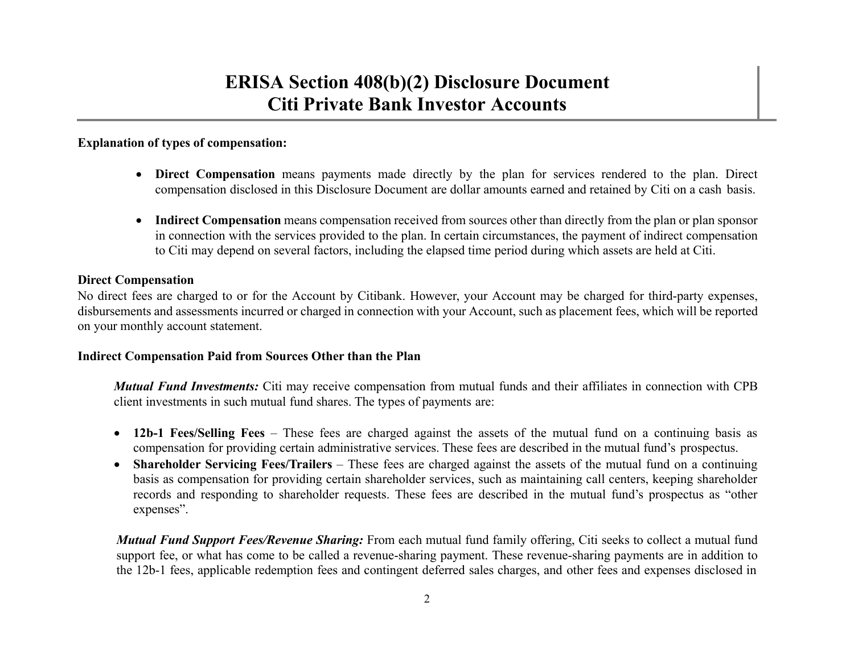## **Explanation of types of compensation:**

- **Direct Compensation** means payments made directly by the plan for services rendered to the plan. Direct compensation disclosed in this Disclosure Document are dollar amounts earned and retained by Citi on <sup>a</sup> cash basis.
- Indirect Compensation means compensation received from sources other than directly from the plan or plan sponsor in connection with the services provided to the plan. In certain circumstances, the paymen<sup>t</sup> of indirect compensation to Citi may depend on several factors, including the elapsed time period during which assets are held at Citi.

### **Direct Compensation**

No direct fees are charged to or for the Account by Citibank. However, your Account may be charged for third-party expenses, disbursements and assessments incurred or charged in connection with your Account, such as placement fees, which will be reported on your monthly account statement.

### **Indirect Compensation Paid from Sources Other than the Plan**

*Mutual Fund Investments:* Citi may receive compensation from mutual funds and their affiliates in connection with CPB client investments in such mutual fund shares. The types of payments are:

- **12b-1 Fees/Selling Fees** These fees are charged against the assets of the mutual fund on <sup>a</sup> continuing basis as compensation for providing certain administrative services. These fees are described in the mutual fund's prospectus.
- $\bullet$  **Shareholder Servicing Fees/Trailers** – These fees are charged against the assets of the mutual fund on <sup>a</sup> continuing basis as compensation for providing certain shareholder services, such as maintaining call centers, keeping shareholder records and responding to shareholder requests. These fees are described in the mutual fund's prospectus as "other expenses".

*Mutual Fund Support Fees/Revenue Sharing:* From each mutual fund family offering, Citi seeks to collect <sup>a</sup> mutual fund suppor<sup>t</sup> fee, or what has come to be called <sup>a</sup> revenue-sharing payment. These revenue-sharing payments are in addition to the 12b-1 fees, applicable redemption fees and contingent deferred sales charges, and other fees and expenses disclosed in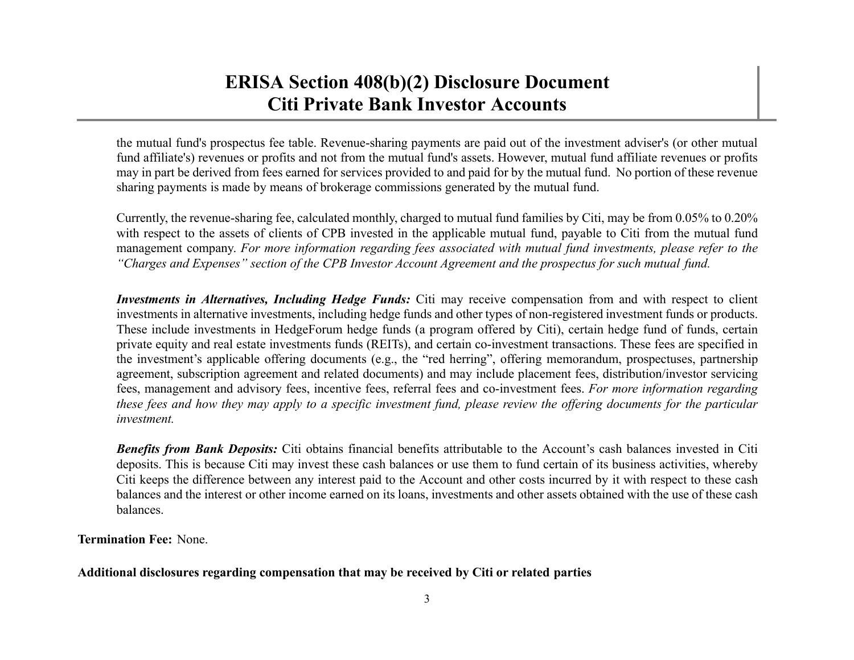the mutual fund's prospectus fee table. Revenue-sharing payments are paid out of the investment adviser's (or other mutual fund affiliate's) revenues or profits and not from the mutual fund's assets. However, mutual fund affiliate revenues or profits may in par<sup>t</sup> be derived from fees earned for services provided to and paid for by the mutual fund. No portion of these revenue sharing payments is made by means of brokerage commissions generated by the mutual fund.

Currently, the revenue-sharing fee, calculated monthly, charged to mutual fund families by Citi, may be from 0.05% to 0.20% with respect to the assets of clients of CPB invested in the applicable mutual fund, payable to Citi from the mutual fund management company. For more information regarding fees associated with mutual fund investments, please refer to the "Charges and Expenses" section of the CPB Investor Account Agreement and the prospectus for such mutual fund.

*Investments in Alternatives, Including Hedge Funds:* Citi may receive compensation from and with respec<sup>t</sup> to client investments in alternative investments, including hedge funds and other types of non-registered investment funds or products. These include investments in HedgeForum hedge funds (a program offered by Citi), certain hedge fund of funds, certain private equity and real estate investments funds (REITs), and certain co-investment transactions. These fees are specified in the investment's applicable offering documents (e.g., the "red herring", offering memorandum, prospectuses, partnership agreement, subscription agreemen<sup>t</sup> and related documents) and may include placement fees, distribution/investor servicing fees, managemen<sup>t</sup> and advisory fees, incentive fees, referral fees and co-investment fees. *For more information regarding* these fees and how they may apply to a specific investment fund, please review the offering documents for the particular *investment.*

*Benefits from Bank Deposits:* Citi obtains financial benefits attributable to the Account's cash balances invested in Citi deposits. This is because Citi may invest these cash balances or use them to fund certain of its business activities, whereby Citi keeps the difference between any interest paid to the Account and other costs incurred by it with respec<sup>t</sup> to these cash balances and the interest or other income earned on its loans, investments and other assets obtained with the use of these cash balances.

**Termination Fee:** None.

## **Additional disclosures regarding compensation that may be received by Citi or related parties**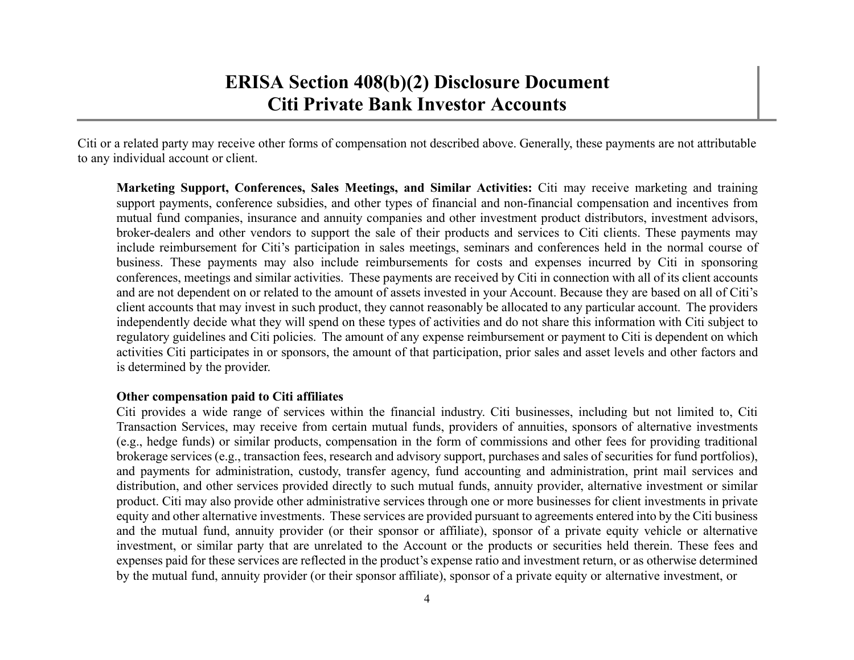Citi or a related party may receive other forms of compensation not described above. Generally, these payments are not attributable to any individual account or client.

**Marketing Support, Conferences, Sales Meetings, and Similar Activities:** Citi may receive marketing and training suppor<sup>t</sup> payments, conference subsidies, and other types of financial and non-financial compensation and incentives from mutual fund companies, insurance and annuity companies and other investment product distributors, investment advisors, broker-dealers and other vendors to suppor<sup>t</sup> the sale of their products and services to Citi clients. These payments may include reimbursement for Citi's participation in sales meetings, seminars and conferences held in the normal course of business. These payments may also include reimbursements for costs and expenses incurred by Citi in sponsoring conferences, meetings and similar activities. These payments are received by Citi in connection with all of its client accounts and are not dependent on or related to the amount of assets invested in your Account. Because they are based on all of Citi's client accounts that may invest in such product, they cannot reasonably be allocated to any particular account. The providers independently decide what they will spend on these types of activities and do not share this information with Citi subject to regulatory guidelines and Citi policies. The amount of any expense reimbursement or paymen<sup>t</sup> to Citi is dependent on which activities Citi participates in or sponsors, the amount of that participation, prior sales and asset levels and other factors and is determined by the provider.

### **Other compensation paid to Citi affiliates**

Citi provides <sup>a</sup> wide range of services within the financial industry. Citi businesses, including but not limited to, Citi Transaction Services, may receive from certain mutual funds, providers of annuities, sponsors of alternative investments (e.g., hedge funds) or similar products, compensation in the form of commissions and other fees for providing traditional brokerage services (e.g., transaction fees, research and advisory support, purchases and sales of securities for fund portfolios), and payments for administration, custody, transfer agency, fund accounting and administration, print mail services and distribution, and other services provided directly to such mutual funds, annuity provider, alternative investment or similar product. Citi may also provide other administrative services through one or more businesses for client investments in private equity and other alternative investments. These services are provided pursuan<sup>t</sup> to agreements entered into by the Citi business and the mutual fund, annuity provider (or their sponsor or affiliate), sponsor of <sup>a</sup> private equity vehicle or alternative investment, or similar party that are unrelated to the Account or the products or securities held therein. These fees and expenses paid for these services are reflected in the product's expense ratio and investment return, or as otherwise determined by the mutual fund, annuity provider (or their sponsor affiliate), sponsor of <sup>a</sup> private equity or alternative investment, or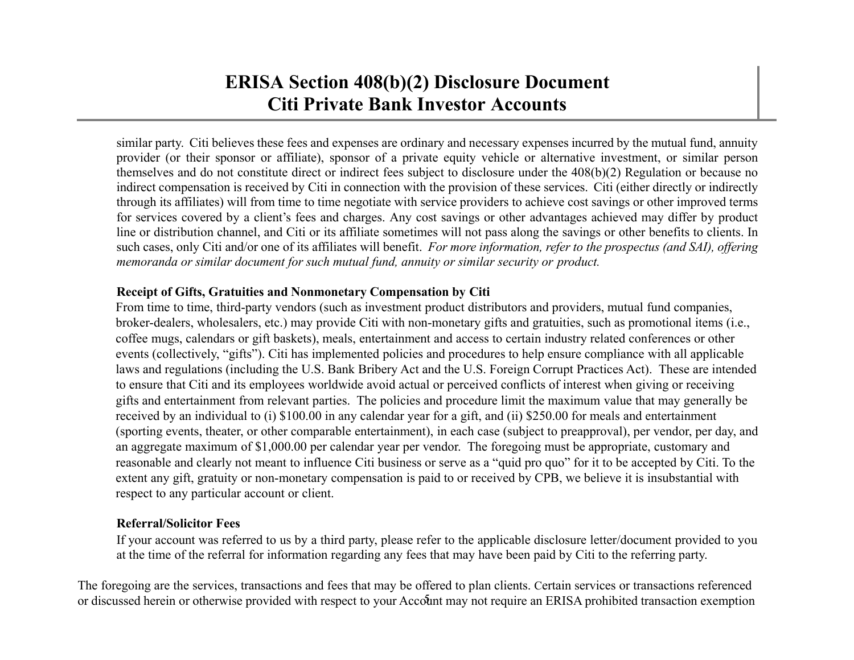similar party. Citi believes these fees and expenses are ordinary and necessary expenses incurred by the mutual fund, annuity provider (or their sponsor or affiliate), sponsor of <sup>a</sup> private equity vehicle or alternative investment, or similar person themselves and do not constitute direct or indirect fees subject to disclosure under the 408(b)(2) Regulation or because no indirect compensation is received by Citi in connection with the provision of these services. Citi (either directly or indirectly through its affiliates) will from time to time negotiate with service providers to achieve cost savings or other improved terms for services covered by <sup>a</sup> client's fees and charges. Any cost savings or other advantages achieved may differ by product line or distribution channel, and Citi or its affiliate sometimes will not pass along the savings or other benefits to clients. In such cases, only Citi and/or one of its affiliates will benefit. For more information, refer to the prospectus (and SAI), offering memoranda or similar document for such mutual fund, annuity or similar security or product.

## **Receipt of Gifts, Gratuities and Nonmonetary Compensation by Citi**

From time to time, third-party vendors (such as investment product distributors and providers, mutual fund companies, broker-dealers, wholesalers, etc.) may provide Citi with non-monetary gifts and gratuities, such as promotional items (i.e., coffee mugs, calendars or gift baskets), meals, entertainment and access to certain industry related conferences or other events (collectively, "gifts"). Citi has implemented policies and procedures to help ensure compliance with all applicable laws and regulations (including the U.S. Bank Bribery Act and the U.S. Foreign Corrupt Practices Act). These are intended to ensure that Citi and its employees worldwide avoid actual or perceived conflicts of interest when giving or receiving gifts and entertainment from relevant parties. The policies and procedure limit the maximum value that may generally be received by an individual to (i) \$100.00 in any calendar year for a gift, and (ii) \$250.00 for meals and entertainment (sporting events, theater, or other comparable entertainment), in each case (subject to preapproval), per vendor, per day, and an aggregate maximum of \$1,000.00 per calendar year per vendor. The foregoing must be appropriate, customary and reasonable and clearly not meant to influence Citi business or serve as a "quid pro quo" for it to be accepted by Citi. To the extent any gift, gratuity or non-monetary compensation is paid to or received by CPB, we believe it is insubstantial with respect to any particular account or client.

### **Referral/Solicitor Fees**

If your account was referred to us by <sup>a</sup> third party, please refer to the applicable disclosure letter/document provided to you at the time of the referral for information regarding any fees that may have been paid by Citi to the referring party.

The foregoing are the services, transactions and fees that may be offered to plan clients. Certain services or transactions referenced or discussed herein or otherwise provided with respect to your Account may not require an ERISA prohibited transaction exemption